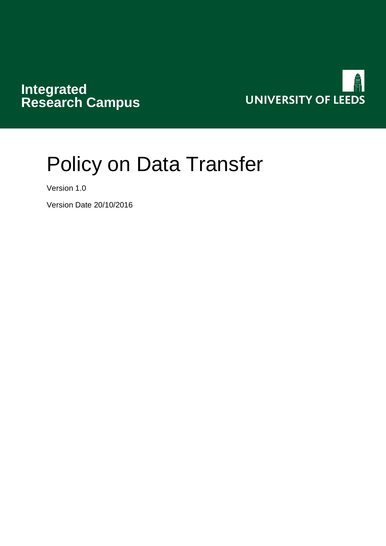# **Integrated Research Campus**



# Policy on Data Transfer

Version 1.0

Version Date 20/10/2016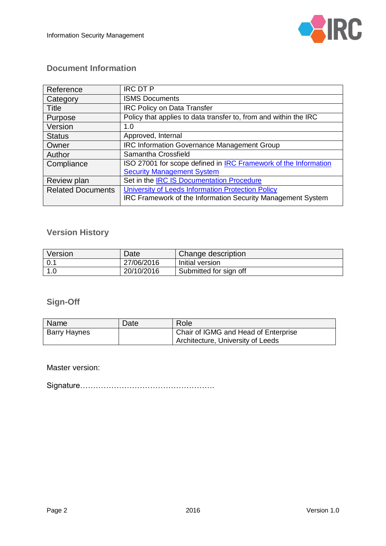

# **Document Information**

| Reference                | <b>IRC DT P</b>                                                  |
|--------------------------|------------------------------------------------------------------|
| Category                 | <b>ISMS Documents</b>                                            |
| Title                    | <b>IRC Policy on Data Transfer</b>                               |
| Purpose                  | Policy that applies to data transfer to, from and within the IRC |
| Version                  | 1.0                                                              |
| <b>Status</b>            | Approved, Internal                                               |
| Owner                    | <b>IRC Information Governance Management Group</b>               |
| Author                   | Samantha Crossfield                                              |
| Compliance               | ISO 27001 for scope defined in IRC Framework of the Information  |
|                          | <b>Security Management System</b>                                |
| Review plan              | Set in the IRC IS Documentation Procedure                        |
| <b>Related Documents</b> | University of Leeds Information Protection Policy                |
|                          | IRC Framework of the Information Security Management System      |

# **Version History**

| Version     | Date       | Change description     |
|-------------|------------|------------------------|
| $\vert 0.1$ | 27/06/2016 | Initial version        |
| 1.0         | 20/10/2016 | Submitted for sign off |

#### **Sign-Off**

| Name                | Date | Role                                 |
|---------------------|------|--------------------------------------|
| <b>Barry Haynes</b> |      | Chair of IGMG and Head of Enterprise |
|                     |      | Architecture, University of Leeds    |

Master version:

Signature…………………………………………….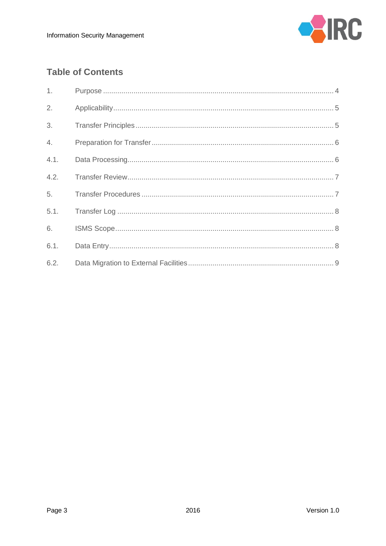

# **Table of Contents**

| 1 <sub>1</sub> |  |
|----------------|--|
| 2.             |  |
| 3.             |  |
| 4.             |  |
| 4.1.           |  |
| 4.2.           |  |
| 5.             |  |
| 5.1.           |  |
| 6.             |  |
| 6.1.           |  |
| 6.2.           |  |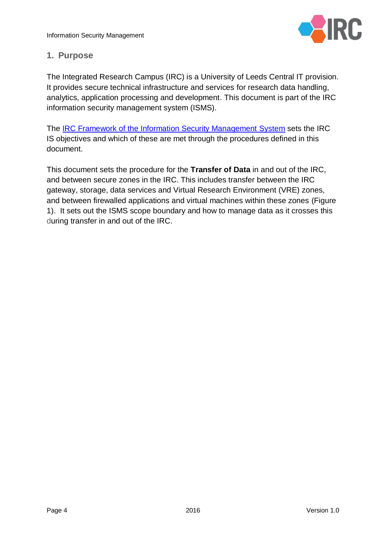

# <span id="page-3-0"></span>**1. Purpose**

The Integrated Research Campus (IRC) is a University of Leeds Central IT provision. It provides secure technical infrastructure and services for research data handling, analytics, application processing and development. This document is part of the IRC information security management system (ISMS).

The IRC [Framework of the Information Security Management System](https://workspace.leeds.ac.uk/sites/IRC/Workflow/Shared%20Documents/ISMS%20Polices%20and%20Procedures/IRC%20Framework%20of%20the%20Information%20Security%20Management%20System.docx?Web=1) sets the IRC IS objectives and which of these are met through the procedures defined in this document.

This document sets the procedure for the **Transfer of Data** in and out of the IRC, and between secure zones in the IRC. This includes transfer between the IRC gateway, storage, data services and Virtual Research Environment (VRE) zones, and between firewalled applications and virtual machines within these zones [\(Figure](#page-4-2)  [1\)](#page-4-2). It sets out the ISMS scope boundary and how to manage data as it crosses this during transfer in and out of the IRC.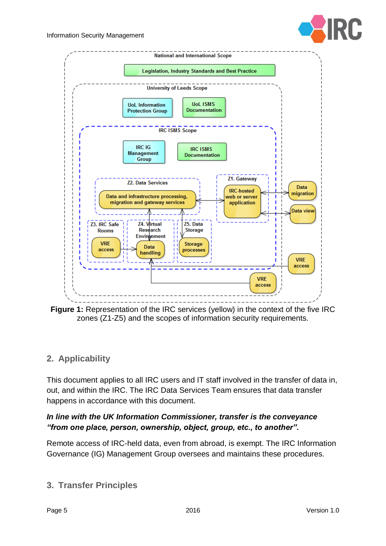



<span id="page-4-2"></span>**Figure 1:** Representation of the IRC services (yellow) in the context of the five IRC zones (Z1-Z5) and the scopes of information security requirements.

# <span id="page-4-0"></span>**2. Applicability**

This document applies to all IRC users and IT staff involved in the transfer of data in, out, and within the IRC. The IRC Data Services Team ensures that data transfer happens in accordance with this document.

#### *In line with the UK Information Commissioner, transfer is the conveyance "from one place, person, ownership, object, group, etc., to another".*

Remote access of IRC-held data, even from abroad, is exempt. The IRC Information Governance (IG) Management Group oversees and maintains these procedures.

# <span id="page-4-1"></span>**3. Transfer Principles**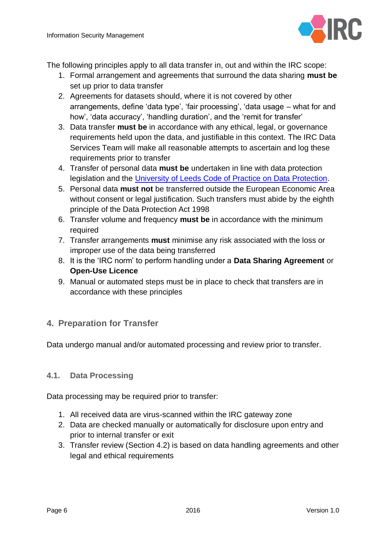

The following principles apply to all data transfer in, out and within the IRC scope:

- 1. Formal arrangement and agreements that surround the data sharing **must be** set up prior to data transfer
- 2. Agreements for datasets should, where it is not covered by other arrangements, define 'data type', 'fair processing', 'data usage – what for and how', 'data accuracy', 'handling duration', and the 'remit for transfer'
- 3. Data transfer **must be** in accordance with any ethical, legal, or governance requirements held upon the data, and justifiable in this context. The IRC Data Services Team will make all reasonable attempts to ascertain and log these requirements prior to transfer
- 4. Transfer of personal data **must be** undertaken in line with data protection legislation and the [University of Leeds Code of Practice on Data Protection.](http://www.leeds.ac.uk/secretariat/data_protection_code_of_practice.html?)
- 5. Personal data **must not** be transferred outside the European Economic Area without consent or legal justification. Such transfers must abide by the eighth principle of the Data Protection Act 1998
- 6. Transfer volume and frequency **must be** in accordance with the minimum required
- 7. Transfer arrangements **must** minimise any risk associated with the loss or improper use of the data being transferred
- 8. It is the 'IRC norm' to perform handling under a **Data Sharing Agreement** or **Open-Use Licence**
- 9. Manual or automated steps must be in place to check that transfers are in accordance with these principles

# <span id="page-5-0"></span>**4. Preparation for Transfer**

Data undergo manual and/or automated processing and review prior to transfer.

#### <span id="page-5-1"></span>**4.1. Data Processing**

Data processing may be required prior to transfer:

- 1. All received data are virus-scanned within the IRC gateway zone
- 2. Data are checked manually or automatically for disclosure upon entry and prior to internal transfer or exit
- 3. Transfer review (Section 4.2) is based on data handling agreements and other legal and ethical requirements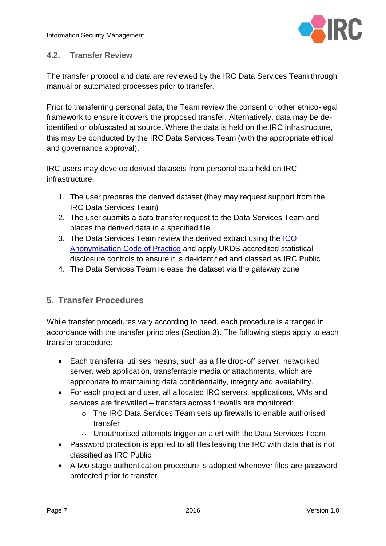Information Security Management



#### <span id="page-6-0"></span>**4.2. Transfer Review**

The transfer protocol and data are reviewed by the IRC Data Services Team through manual or automated processes prior to transfer.

Prior to transferring personal data, the Team review the consent or other ethico-legal framework to ensure it covers the proposed transfer. Alternatively, data may be deidentified or obfuscated at source. Where the data is held on the IRC infrastructure, this may be conducted by the IRC Data Services Team (with the appropriate ethical and governance approval).

IRC users may develop derived datasets from personal data held on IRC infrastructure.

- 1. The user prepares the derived dataset (they may request support from the IRC Data Services Team)
- 2. The user submits a data transfer request to the Data Services Team and places the derived data in a specified file
- 3. The Data Services Team review the derived extract using the [ICO](https://ico.org.uk/for-organisations/guide-to-data-protection/anonymisation/)  [Anonymisation Code of Practice](https://ico.org.uk/for-organisations/guide-to-data-protection/anonymisation/) and apply UKDS-accredited statistical disclosure controls to ensure it is de-identified and classed as IRC Public
- 4. The Data Services Team release the dataset via the gateway zone

# <span id="page-6-1"></span>**5. Transfer Procedures**

While transfer procedures vary according to need, each procedure is arranged in accordance with the transfer principles (Section [3\)](#page-4-1). The following steps apply to each transfer procedure:

- Each transferral utilises means, such as a file drop-off server, networked server, web application, transferrable media or attachments, which are appropriate to maintaining data confidentiality, integrity and availability.
- For each project and user, all allocated IRC servers, applications, VMs and services are firewalled – transfers across firewalls are monitored:
	- $\circ$  The IRC Data Services Team sets up firewalls to enable authorised transfer
	- o Unauthorised attempts trigger an alert with the Data Services Team
- Password protection is applied to all files leaving the IRC with data that is not classified as IRC Public
- A two-stage authentication procedure is adopted whenever files are password protected prior to transfer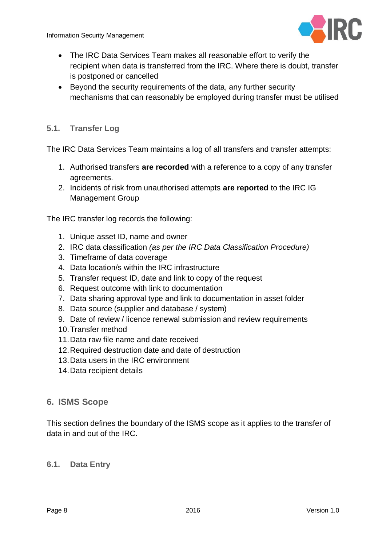

- The IRC Data Services Team makes all reasonable effort to verify the recipient when data is transferred from the IRC. Where there is doubt, transfer is postponed or cancelled
- Beyond the security requirements of the data, any further security mechanisms that can reasonably be employed during transfer must be utilised

#### <span id="page-7-0"></span>**5.1. Transfer Log**

The IRC Data Services Team maintains a log of all transfers and transfer attempts:

- 1. Authorised transfers **are recorded** with a reference to a copy of any transfer agreements.
- 2. Incidents of risk from unauthorised attempts **are reported** to the IRC IG Management Group

The IRC transfer log records the following:

- 1. Unique asset ID, name and owner
- 2. IRC data classification *(as per the IRC Data Classification Procedure)*
- 3. Timeframe of data coverage
- 4. Data location/s within the IRC infrastructure
- 5. Transfer request ID, date and link to copy of the request
- 6. Request outcome with link to documentation
- 7. Data sharing approval type and link to documentation in asset folder
- 8. Data source (supplier and database / system)
- 9. Date of review / licence renewal submission and review requirements
- 10.Transfer method
- 11.Data raw file name and date received
- 12.Required destruction date and date of destruction
- 13.Data users in the IRC environment
- 14.Data recipient details

#### <span id="page-7-1"></span>**6. ISMS Scope**

This section defines the boundary of the ISMS scope as it applies to the transfer of data in and out of the IRC.

#### <span id="page-7-2"></span>**6.1. Data Entry**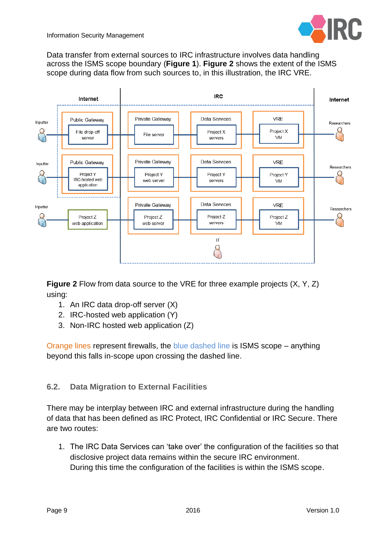

Data transfer from external sources to IRC infrastructure involves data handling across the ISMS scope boundary (**[Figure 1](#page-4-2)**). **[Figure 2](#page-8-1)** shows the extent of the ISMS scope during data flow from such sources to, in this illustration, the IRC VRE.



<span id="page-8-1"></span>**Figure 2** Flow from data source to the VRE for three example projects (X, Y, Z) using:

- 1. An IRC data drop-off server (X)
- 2. IRC-hosted web application (Y)
- 3. Non-IRC hosted web application (Z)

Orange lines represent firewalls, the blue dashed line is ISMS scope – anything beyond this falls in-scope upon crossing the dashed line.

#### <span id="page-8-0"></span>**6.2. Data Migration to External Facilities**

There may be interplay between IRC and external infrastructure during the handling of data that has been defined as IRC Protect, IRC Confidential or IRC Secure. There are two routes:

1. The IRC Data Services can 'take over' the configuration of the facilities so that disclosive project data remains within the secure IRC environment. During this time the configuration of the facilities is within the ISMS scope.